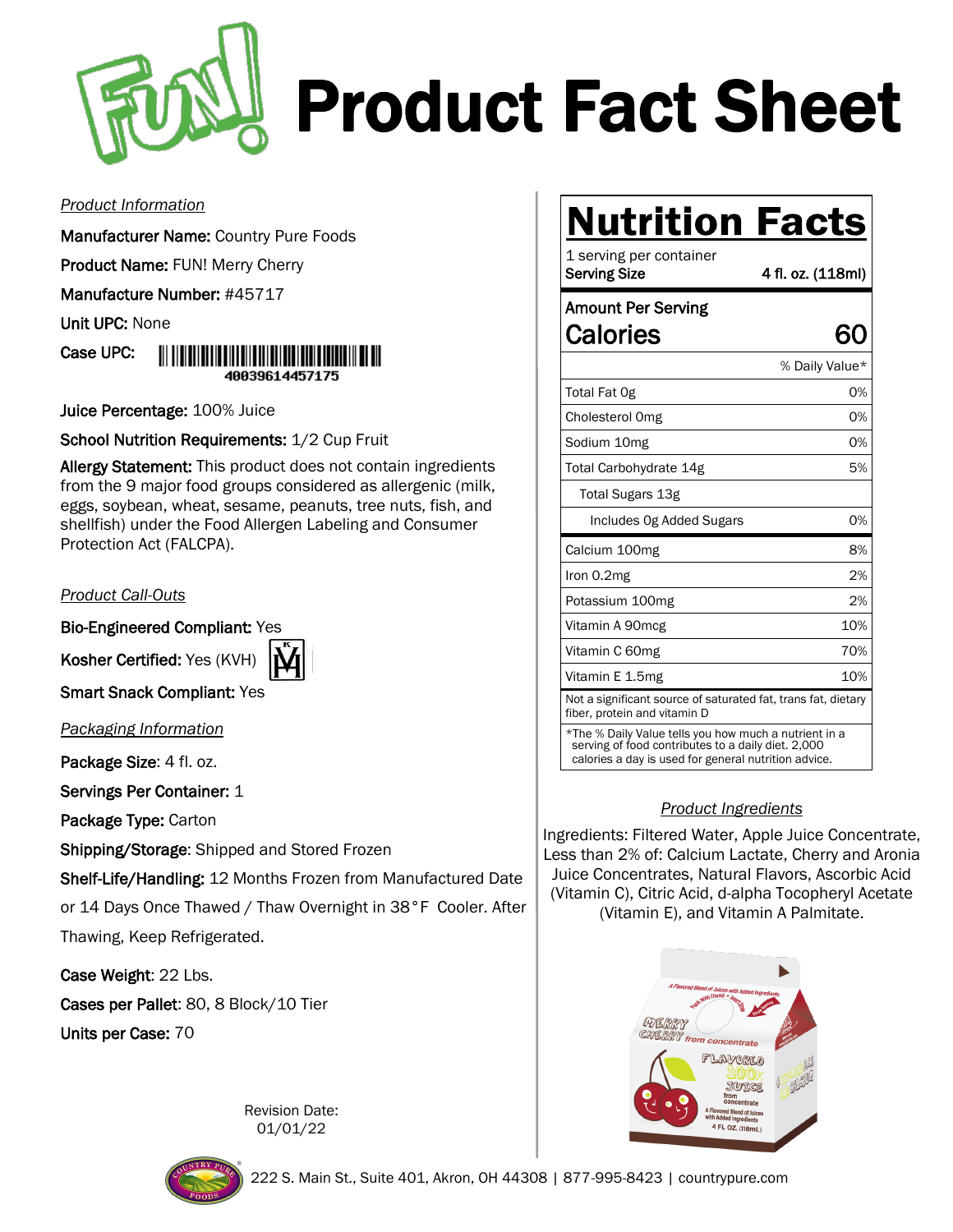

# Product Fact Sheet

#### *Product Information*

Manufacturer Name: Country Pure Foods

Product Name: FUN! Merry Cherry

Manufacture Number: #45717

Unit UPC: None

Case UPC: 40039614457175

Juice Percentage: 100% Juice

School Nutrition Requirements: 1/2 Cup Fruit

Allergy Statement: This product does not contain ingredients from the 9 major food groups considered as allergenic (milk, eggs, soybean, wheat, sesame, peanuts, tree nuts, fish, and shellfish) under the Food Allergen Labeling and Consumer Protection Act (FALCPA).

### *Product Call-Outs*

Bio-Engineered Compliant: Yes

Kosher Certified: Yes (KVH)



**Smart Snack Compliant: Yes** 

*Packaging Information*

Package Size: 4 fl. oz.

Servings Per Container: 1

Package Type: Carton

Shipping/Storage: Shipped and Stored Frozen

Shelf-Life/Handling: 12 Months Frozen from Manufactured Date or 14 Days Once Thawed / Thaw Overnight in 38°F Cooler. After

Thawing, Keep Refrigerated.

Case Weight: 22 Lbs.

Cases per Pallet: 80, 8 Block/10 Tier

Units per Case: 70





## **Nutrition Facts**

| 1 serving per container<br><b>Serving Size</b>                                                                                                                      | 4 fl. oz. (118ml) |
|---------------------------------------------------------------------------------------------------------------------------------------------------------------------|-------------------|
| <b>Amount Per Serving</b>                                                                                                                                           |                   |
| Calories                                                                                                                                                            | 61                |
|                                                                                                                                                                     | % Daily Value*    |
| Total Fat Og                                                                                                                                                        | 0%                |
| Cholesterol Omg                                                                                                                                                     | 0%                |
| Sodium 10mg                                                                                                                                                         | 0%                |
| Total Carbohydrate 14g                                                                                                                                              | 5%                |
| Total Sugars 13g                                                                                                                                                    |                   |
| Includes Og Added Sugars                                                                                                                                            | 0%                |
| Calcium 100mg                                                                                                                                                       | 8%                |
| Iron 0.2mg                                                                                                                                                          | 2%                |
| Potassium 100mg                                                                                                                                                     | 2%                |
| Vitamin A 90mcg                                                                                                                                                     | 10%               |
| Vitamin C 60mg                                                                                                                                                      | 70%               |
| Vitamin E 1.5mg                                                                                                                                                     | 10%               |
| Not a significant source of saturated fat, trans fat, dietary<br>fiber, protein and vitamin D                                                                       |                   |
| *The % Daily Value tells you how much a nutrient in a<br>serving of food contributes to a daily diet. 2,000<br>calories a day is used for general nutrition advice. |                   |

### *Product Ingredients*

Ingredients: Filtered Water, Apple Juice Concentrate, Less than 2% of: Calcium Lactate, Cherry and Aronia Juice Concentrates, Natural Flavors, Ascorbic Acid (Vitamin C), Citric Acid, d-alpha Tocopheryl Acetate (Vitamin E), and Vitamin A Palmitate.